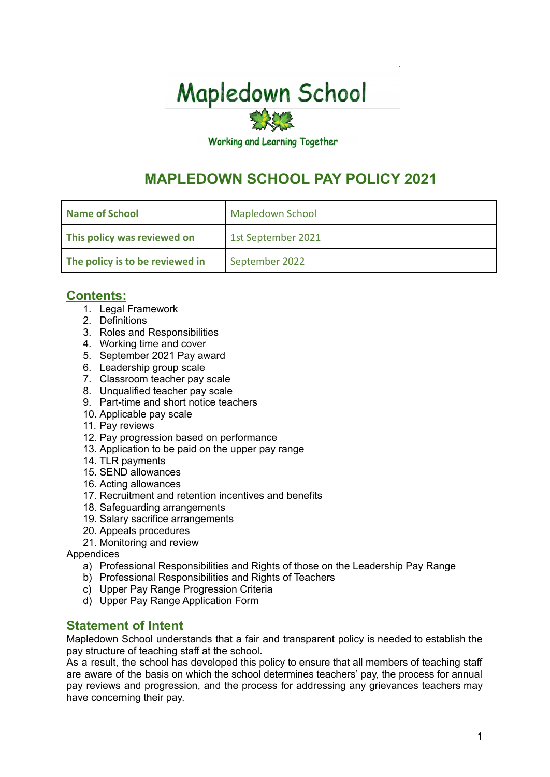# **Mapledown School**

**Working and Learning Together** 

# **MAPLEDOWN SCHOOL PAY POLICY 2021**

| <b>Mapledown School</b><br>Name of School |                    |
|-------------------------------------------|--------------------|
| This policy was reviewed on               | 1st September 2021 |
| The policy is to be reviewed in           | September 2022     |

## **Contents:**

- 1. Legal Framework
- 2. Definitions
- 3. Roles and Responsibilities
- 4. Working time and cover
- 5. September 2021 Pay award
- 6. Leadership group scale
- 7. Classroom teacher pay scale
- 8. Unqualified teacher pay scale
- 9. Part-time and short notice teachers
- 10. Applicable pay scale
- 11. Pay reviews
- 12. Pay progression based on performance
- 13. Application to be paid on the upper pay range
- 14. TLR payments
- 15. SEND allowances
- 16. Acting allowances
- 17. Recruitment and retention incentives and benefits
- 18. Safeguarding arrangements
- 19. Salary sacrifice arrangements
- 20. Appeals procedures
- 21. Monitoring and review

**Appendices** 

- a) Professional Responsibilities and Rights of those on the Leadership Pay Range
- b) Professional Responsibilities and Rights of Teachers
- c) Upper Pay Range Progression Criteria
- d) Upper Pay Range Application Form

#### **Statement of Intent**

Mapledown School understands that a fair and transparent policy is needed to establish the pay structure of teaching staff at the school.

As a result, the school has developed this policy to ensure that all members of teaching staff are aware of the basis on which the school determines teachers' pay, the process for annual pay reviews and progression, and the process for addressing any grievances teachers may have concerning their pay.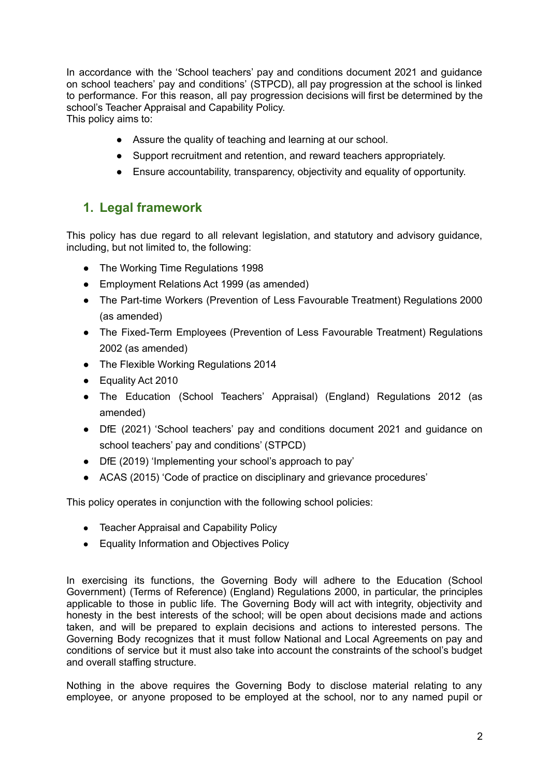In accordance with the 'School teachers' pay and conditions document 2021 and guidance on school teachers' pay and conditions' (STPCD), all pay progression at the school is linked to performance. For this reason, all pay progression decisions will first be determined by the school's Teacher Appraisal and Capability Policy. This policy aims to:

● Assure the quality of teaching and learning at our school.

- Support recruitment and retention, and reward teachers appropriately.
- Ensure accountability, transparency, objectivity and equality of opportunity.

## **1. Legal framework**

This policy has due regard to all relevant legislation, and statutory and advisory guidance, including, but not limited to, the following:

- The Working Time Regulations 1998
- Employment Relations Act 1999 (as amended)
- The Part-time Workers (Prevention of Less Favourable Treatment) Regulations 2000 (as amended)
- The Fixed-Term Employees (Prevention of Less Favourable Treatment) Regulations 2002 (as amended)
- The Flexible Working Regulations 2014
- Equality Act 2010
- The Education (School Teachers' Appraisal) (England) Regulations 2012 (as amended)
- DfE (2021) 'School teachers' pay and conditions document 2021 and guidance on school teachers' pay and conditions' (STPCD)
- DfE (2019) 'Implementing your school's approach to pay'
- ACAS (2015) 'Code of practice on disciplinary and grievance procedures'

This policy operates in conjunction with the following school policies:

- Teacher Appraisal and Capability Policy
- Equality Information and Objectives Policy

In exercising its functions, the Governing Body will adhere to the Education (School Government) (Terms of Reference) (England) Regulations 2000, in particular, the principles applicable to those in public life. The Governing Body will act with integrity, objectivity and honesty in the best interests of the school; will be open about decisions made and actions taken, and will be prepared to explain decisions and actions to interested persons. The Governing Body recognizes that it must follow National and Local Agreements on pay and conditions of service but it must also take into account the constraints of the school's budget and overall staffing structure.

Nothing in the above requires the Governing Body to disclose material relating to any employee, or anyone proposed to be employed at the school, nor to any named pupil or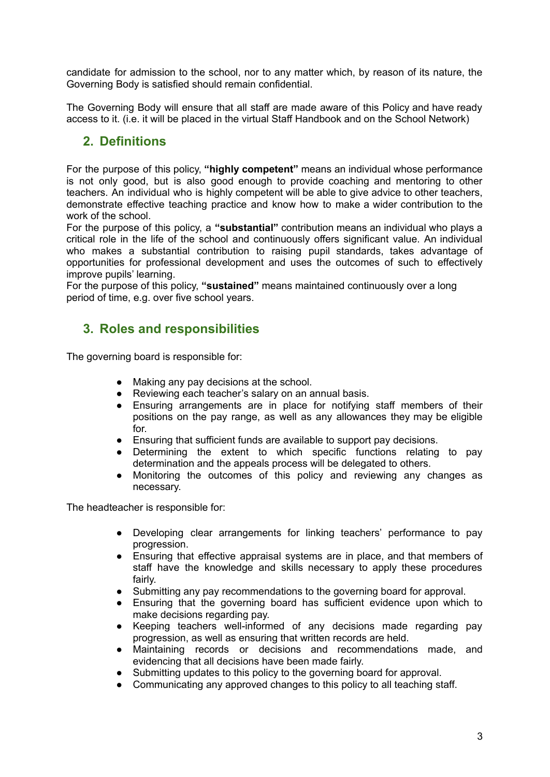candidate for admission to the school, nor to any matter which, by reason of its nature, the Governing Body is satisfied should remain confidential.

The Governing Body will ensure that all staff are made aware of this Policy and have ready access to it. (i.e. it will be placed in the virtual Staff Handbook and on the School Network)

#### **2. Definitions**

For the purpose of this policy, **"highly competent"** means an individual whose performance is not only good, but is also good enough to provide coaching and mentoring to other teachers. An individual who is highly competent will be able to give advice to other teachers, demonstrate effective teaching practice and know how to make a wider contribution to the work of the school.

For the purpose of this policy, a **"substantial"** contribution means an individual who plays a critical role in the life of the school and continuously offers significant value. An individual who makes a substantial contribution to raising pupil standards, takes advantage of opportunities for professional development and uses the outcomes of such to effectively improve pupils' learning.

For the purpose of this policy, **"sustained"** means maintained continuously over a long period of time, e.g. over five school years.

#### **3. Roles and responsibilities**

The governing board is responsible for:

- Making any pay decisions at the school.
- Reviewing each teacher's salary on an annual basis.
- Ensuring arrangements are in place for notifying staff members of their positions on the pay range, as well as any allowances they may be eligible for.
- Ensuring that sufficient funds are available to support pay decisions.
- Determining the extent to which specific functions relating to pay determination and the appeals process will be delegated to others.
- Monitoring the outcomes of this policy and reviewing any changes as necessary.

The headteacher is responsible for:

- Developing clear arrangements for linking teachers' performance to pay progression.
- Ensuring that effective appraisal systems are in place, and that members of staff have the knowledge and skills necessary to apply these procedures fairly.
- Submitting any pay recommendations to the governing board for approval.
- Ensuring that the governing board has sufficient evidence upon which to make decisions regarding pay.
- Keeping teachers well-informed of any decisions made regarding pay progression, as well as ensuring that written records are held.
- Maintaining records or decisions and recommendations made, and evidencing that all decisions have been made fairly.
- Submitting updates to this policy to the governing board for approval.
- Communicating any approved changes to this policy to all teaching staff.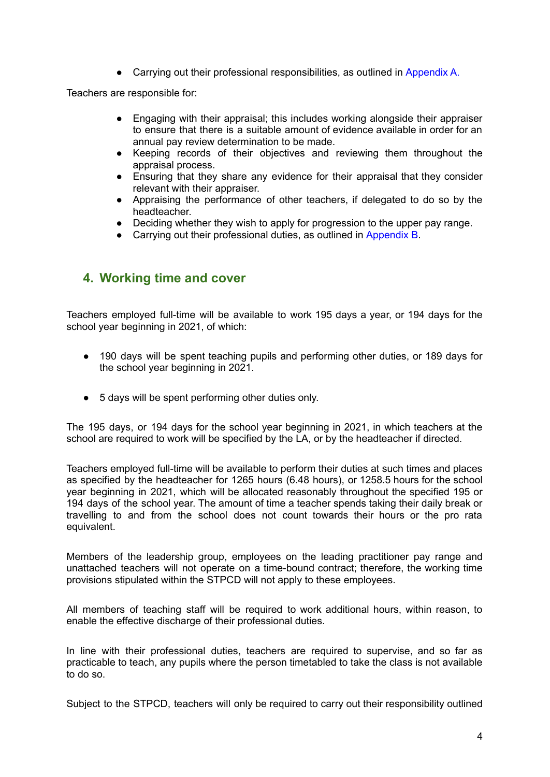• Carrying out their professional responsibilities, as outlined in Appendix A.

Teachers are responsible for:

- Engaging with their appraisal; this includes working alongside their appraiser to ensure that there is a suitable amount of evidence available in order for an annual pay review determination to be made.
- Keeping records of their objectives and reviewing them throughout the appraisal process.
- Ensuring that they share any evidence for their appraisal that they consider relevant with their appraiser.
- Appraising the performance of other teachers, if delegated to do so by the headteacher.
- Deciding whether they wish to apply for progression to the upper pay range.
- Carrying out their professional duties, as outlined in Appendix B.

#### **4. Working time and cover**

Teachers employed full-time will be available to work 195 days a year, or 194 days for the school year beginning in 2021, of which:

- 190 days will be spent teaching pupils and performing other duties, or 189 days for the school year beginning in 2021.
- 5 days will be spent performing other duties only.

The 195 days, or 194 days for the school year beginning in 2021, in which teachers at the school are required to work will be specified by the LA, or by the headteacher if directed.

Teachers employed full-time will be available to perform their duties at such times and places as specified by the headteacher for 1265 hours (6.48 hours), or 1258.5 hours for the school year beginning in 2021, which will be allocated reasonably throughout the specified 195 or 194 days of the school year. The amount of time a teacher spends taking their daily break or travelling to and from the school does not count towards their hours or the pro rata equivalent.

Members of the leadership group, employees on the leading practitioner pay range and unattached teachers will not operate on a time-bound contract; therefore, the working time provisions stipulated within the STPCD will not apply to these employees.

All members of teaching staff will be required to work additional hours, within reason, to enable the effective discharge of their professional duties.

In line with their professional duties, teachers are required to supervise, and so far as practicable to teach, any pupils where the person timetabled to take the class is not available to do so.

Subject to the STPCD, teachers will only be required to carry out their responsibility outlined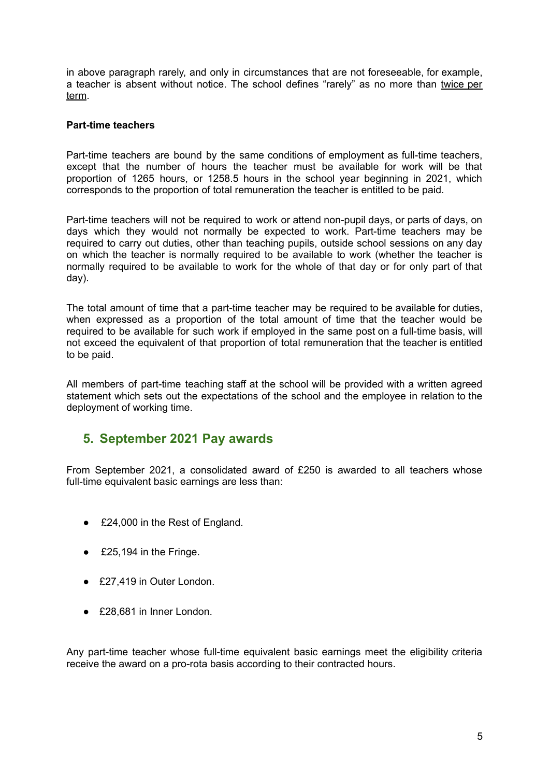in above paragraph rarely, and only in circumstances that are not foreseeable, for example, a teacher is absent without notice. The school defines "rarely" as no more than twice per term.

#### **Part-time teachers**

Part-time teachers are bound by the same conditions of employment as full-time teachers, except that the number of hours the teacher must be available for work will be that proportion of 1265 hours, or 1258.5 hours in the school year beginning in 2021, which corresponds to the proportion of total remuneration the teacher is entitled to be paid.

Part-time teachers will not be required to work or attend non-pupil days, or parts of days, on days which they would not normally be expected to work. Part-time teachers may be required to carry out duties, other than teaching pupils, outside school sessions on any day on which the teacher is normally required to be available to work (whether the teacher is normally required to be available to work for the whole of that day or for only part of that day).

The total amount of time that a part-time teacher may be required to be available for duties, when expressed as a proportion of the total amount of time that the teacher would be required to be available for such work if employed in the same post on a full-time basis, will not exceed the equivalent of that proportion of total remuneration that the teacher is entitled to be paid.

All members of part-time teaching staff at the school will be provided with a written agreed statement which sets out the expectations of the school and the employee in relation to the deployment of working time.

#### **5. September 2021 Pay awards**

From September 2021, a consolidated award of £250 is awarded to all teachers whose full-time equivalent basic earnings are less than:

- £24,000 in the Rest of England.
- $\epsilon$  £25,194 in the Fringe.
- £27,419 in Outer London.
- £28,681 in Inner London.

Any part-time teacher whose full-time equivalent basic earnings meet the eligibility criteria receive the award on a pro-rota basis according to their contracted hours.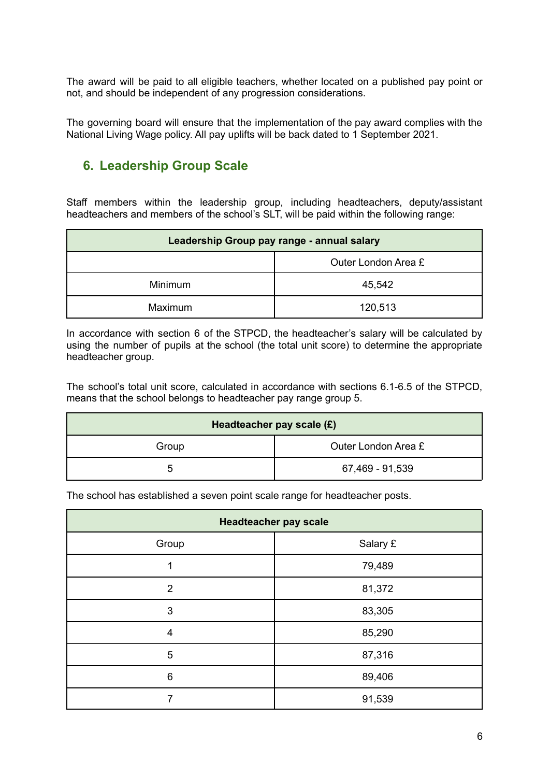The award will be paid to all eligible teachers, whether located on a published pay point or not, and should be independent of any progression considerations.

The governing board will ensure that the implementation of the pay award complies with the National Living Wage policy. All pay uplifts will be back dated to 1 September 2021.

## **6. Leadership Group Scale**

Staff members within the leadership group, including headteachers, deputy/assistant headteachers and members of the school's SLT, will be paid within the following range:

| Leadership Group pay range - annual salary |         |  |  |
|--------------------------------------------|---------|--|--|
| Outer London Area £                        |         |  |  |
| <b>Minimum</b>                             | 45,542  |  |  |
| <b>Maximum</b>                             | 120,513 |  |  |

In accordance with section 6 of the STPCD, the headteacher's salary will be calculated by using the number of pupils at the school (the total unit score) to determine the appropriate headteacher group.

The school's total unit score, calculated in accordance with sections 6.1-6.5 of the STPCD, means that the school belongs to headteacher pay range group 5.

| Headteacher pay scale (£) |                     |  |  |
|---------------------------|---------------------|--|--|
| Group                     | Outer London Area £ |  |  |
| ∽                         | 67,469 - 91,539     |  |  |

The school has established a seven point scale range for headteacher posts.

| <b>Headteacher pay scale</b> |          |  |  |
|------------------------------|----------|--|--|
| Group                        | Salary £ |  |  |
| 1                            | 79,489   |  |  |
| $\overline{2}$               | 81,372   |  |  |
| 3                            | 83,305   |  |  |
| $\overline{\mathbf{4}}$      | 85,290   |  |  |
| 5                            | 87,316   |  |  |
| 6                            | 89,406   |  |  |
| 7                            | 91,539   |  |  |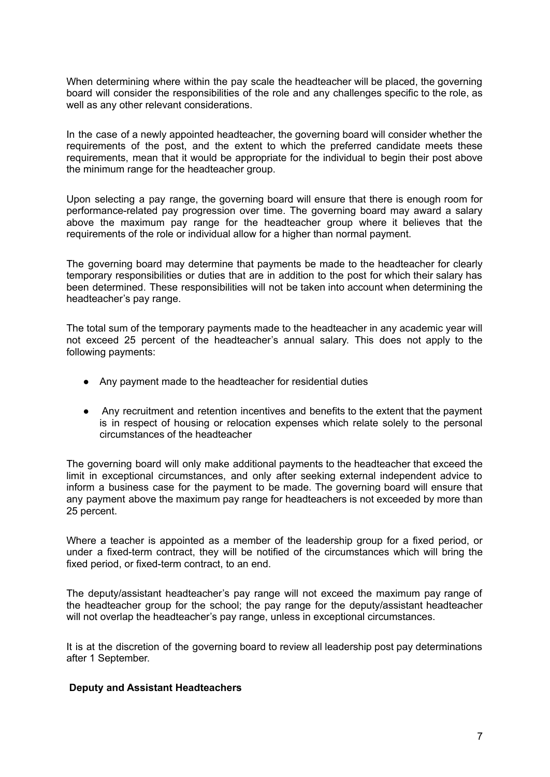When determining where within the pay scale the headteacher will be placed, the governing board will consider the responsibilities of the role and any challenges specific to the role, as well as any other relevant considerations.

In the case of a newly appointed headteacher, the governing board will consider whether the requirements of the post, and the extent to which the preferred candidate meets these requirements, mean that it would be appropriate for the individual to begin their post above the minimum range for the headteacher group.

Upon selecting a pay range, the governing board will ensure that there is enough room for performance-related pay progression over time. The governing board may award a salary above the maximum pay range for the headteacher group where it believes that the requirements of the role or individual allow for a higher than normal payment.

The governing board may determine that payments be made to the headteacher for clearly temporary responsibilities or duties that are in addition to the post for which their salary has been determined. These responsibilities will not be taken into account when determining the headteacher's pay range.

The total sum of the temporary payments made to the headteacher in any academic year will not exceed 25 percent of the headteacher's annual salary. This does not apply to the following payments:

- Any payment made to the headteacher for residential duties
- Any recruitment and retention incentives and benefits to the extent that the payment is in respect of housing or relocation expenses which relate solely to the personal circumstances of the headteacher

The governing board will only make additional payments to the headteacher that exceed the limit in exceptional circumstances, and only after seeking external independent advice to inform a business case for the payment to be made. The governing board will ensure that any payment above the maximum pay range for headteachers is not exceeded by more than 25 percent.

Where a teacher is appointed as a member of the leadership group for a fixed period, or under a fixed-term contract, they will be notified of the circumstances which will bring the fixed period, or fixed-term contract, to an end.

The deputy/assistant headteacher's pay range will not exceed the maximum pay range of the headteacher group for the school; the pay range for the deputy/assistant headteacher will not overlap the headteacher's pay range, unless in exceptional circumstances.

It is at the discretion of the governing board to review all leadership post pay determinations after 1 September.

#### **Deputy and Assistant Headteachers**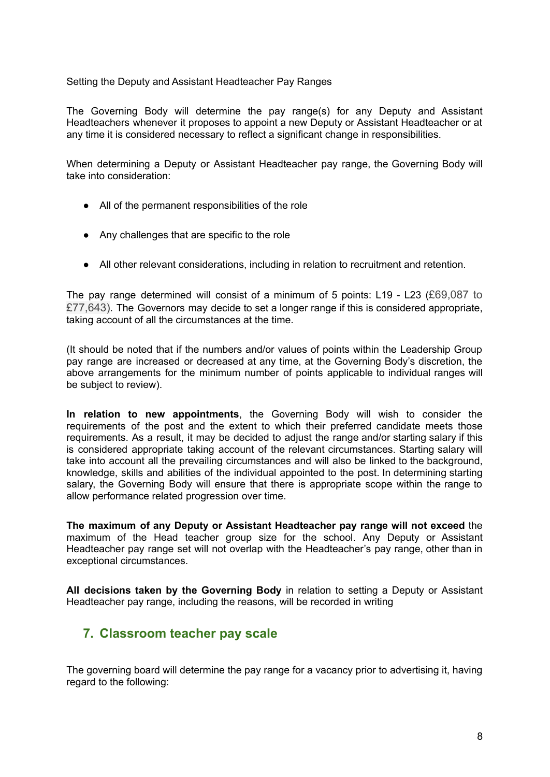Setting the Deputy and Assistant Headteacher Pay Ranges

The Governing Body will determine the pay range(s) for any Deputy and Assistant Headteachers whenever it proposes to appoint a new Deputy or Assistant Headteacher or at any time it is considered necessary to reflect a significant change in responsibilities.

When determining a Deputy or Assistant Headteacher pay range, the Governing Body will take into consideration:

- All of the permanent responsibilities of the role
- Any challenges that are specific to the role
- All other relevant considerations, including in relation to recruitment and retention.

The pay range determined will consist of a minimum of 5 points: L19 - L23 (£69,087 to £77,643). The Governors may decide to set a longer range if this is considered appropriate, taking account of all the circumstances at the time.

(It should be noted that if the numbers and/or values of points within the Leadership Group pay range are increased or decreased at any time, at the Governing Body's discretion, the above arrangements for the minimum number of points applicable to individual ranges will be subject to review).

**In relation to new appointments**, the Governing Body will wish to consider the requirements of the post and the extent to which their preferred candidate meets those requirements. As a result, it may be decided to adjust the range and/or starting salary if this is considered appropriate taking account of the relevant circumstances. Starting salary will take into account all the prevailing circumstances and will also be linked to the background, knowledge, skills and abilities of the individual appointed to the post. In determining starting salary, the Governing Body will ensure that there is appropriate scope within the range to allow performance related progression over time.

**The maximum of any Deputy or Assistant Headteacher pay range will not exceed** the maximum of the Head teacher group size for the school. Any Deputy or Assistant Headteacher pay range set will not overlap with the Headteacher's pay range, other than in exceptional circumstances.

**All decisions taken by the Governing Body** in relation to setting a Deputy or Assistant Headteacher pay range, including the reasons, will be recorded in writing

#### **7. Classroom teacher pay scale**

The governing board will determine the pay range for a vacancy prior to advertising it, having regard to the following: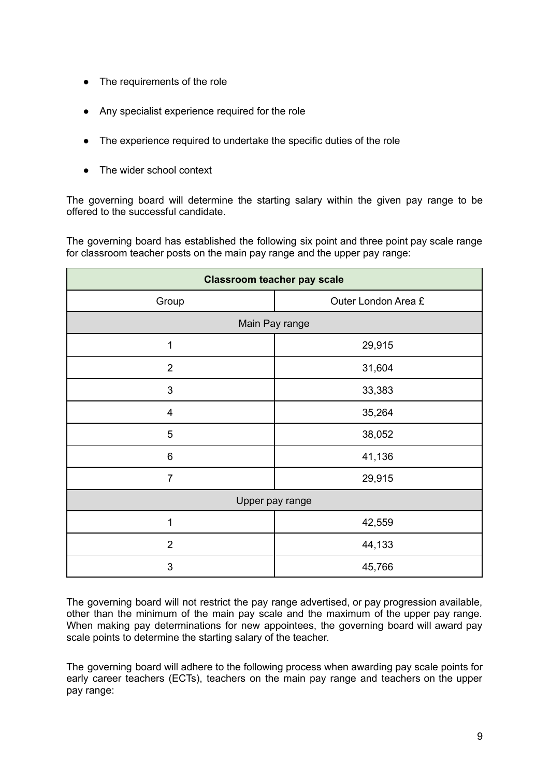- The requirements of the role
- Any specialist experience required for the role
- The experience required to undertake the specific duties of the role
- The wider school context

The governing board will determine the starting salary within the given pay range to be offered to the successful candidate.

The governing board has established the following six point and three point pay scale range for classroom teacher posts on the main pay range and the upper pay range:

| <b>Classroom teacher pay scale</b> |                     |  |  |
|------------------------------------|---------------------|--|--|
| Group                              | Outer London Area £ |  |  |
| Main Pay range                     |                     |  |  |
| 1                                  | 29,915              |  |  |
| $\overline{2}$                     | 31,604              |  |  |
| 3                                  | 33,383              |  |  |
| $\overline{\mathbf{4}}$            | 35,264              |  |  |
| 5                                  | 38,052              |  |  |
| $\,6$<br>41,136                    |                     |  |  |
| $\overline{7}$                     | 29,915              |  |  |
| Upper pay range                    |                     |  |  |
| 1                                  | 42,559              |  |  |
| $\overline{2}$                     | 44,133              |  |  |
| 3                                  | 45,766              |  |  |

The governing board will not restrict the pay range advertised, or pay progression available, other than the minimum of the main pay scale and the maximum of the upper pay range. When making pay determinations for new appointees, the governing board will award pay scale points to determine the starting salary of the teacher.

The governing board will adhere to the following process when awarding pay scale points for early career teachers (ECTs), teachers on the main pay range and teachers on the upper pay range: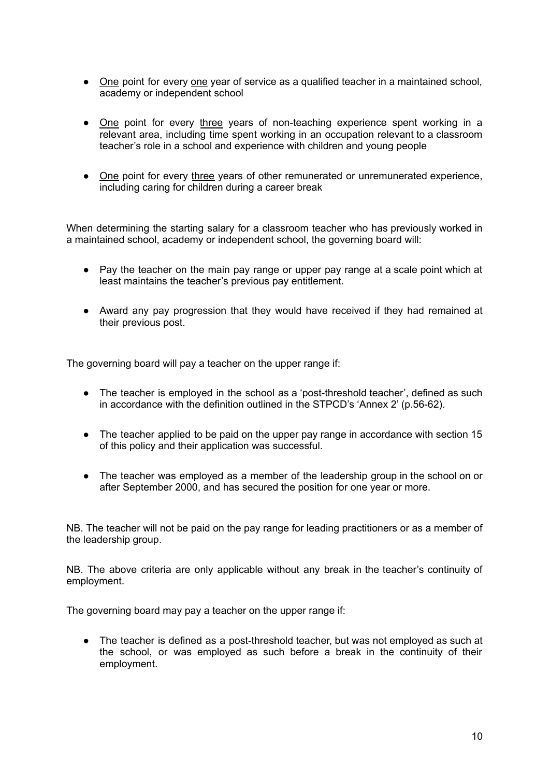- One point for every one year of service as a qualified teacher in a maintained school, academy or independent school
- One point for every three years of non-teaching experience spent working in a relevant area, including time spent working in an occupation relevant to a classroom teacher's role in a school and experience with children and young people
- One point for every three years of other remunerated or unremunerated experience, including caring for children during a career break

When determining the starting salary for a classroom teacher who has previously worked in a maintained school, academy or independent school, the governing board will:

- Pay the teacher on the main pay range or upper pay range at a scale point which at least maintains the teacher's previous pay entitlement.
- Award any pay progression that they would have received if they had remained at their previous post.

The governing board will pay a teacher on the upper range if:

- The teacher is employed in the school as a 'post-threshold teacher', defined as such in accordance with the definition outlined in the STPCD's 'Annex 2' (p.56-62).
- The teacher applied to be paid on the upper pay range in accordance with section 15 of this policy and their application was successful.
- The teacher was employed as a member of the leadership group in the school on or after September 2000, and has secured the position for one year or more.

NB. The teacher will not be paid on the pay range for leading practitioners or as a member of the leadership group.

NB. The above criteria are only applicable without any break in the teacher's continuity of employment.

The governing board may pay a teacher on the upper range if:

● The teacher is defined as a post-threshold teacher, but was not employed as such at the school, or was employed as such before a break in the continuity of their employment.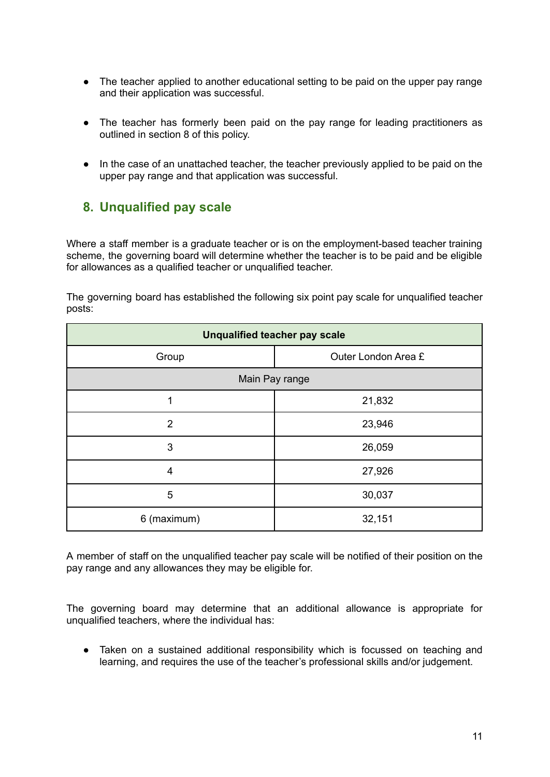- The teacher applied to another educational setting to be paid on the upper pay range and their application was successful.
- The teacher has formerly been paid on the pay range for leading practitioners as outlined in section 8 of this policy.
- In the case of an unattached teacher, the teacher previously applied to be paid on the upper pay range and that application was successful.

#### **8. Unqualified pay scale**

Where a staff member is a graduate teacher or is on the employment-based teacher training scheme, the governing board will determine whether the teacher is to be paid and be eligible for allowances as a qualified teacher or unqualified teacher.

The governing board has established the following six point pay scale for unqualified teacher posts:

| <b>Unqualified teacher pay scale</b> |                     |  |  |
|--------------------------------------|---------------------|--|--|
| Group                                | Outer London Area £ |  |  |
| Main Pay range                       |                     |  |  |
| 1                                    | 21,832              |  |  |
| $\overline{2}$                       | 23,946              |  |  |
| 3                                    | 26,059              |  |  |
| 4                                    | 27,926              |  |  |
| 5                                    | 30,037              |  |  |
| 6 (maximum)                          | 32,151              |  |  |

A member of staff on the unqualified teacher pay scale will be notified of their position on the pay range and any allowances they may be eligible for.

The governing board may determine that an additional allowance is appropriate for unqualified teachers, where the individual has:

● Taken on a sustained additional responsibility which is focussed on teaching and learning, and requires the use of the teacher's professional skills and/or judgement.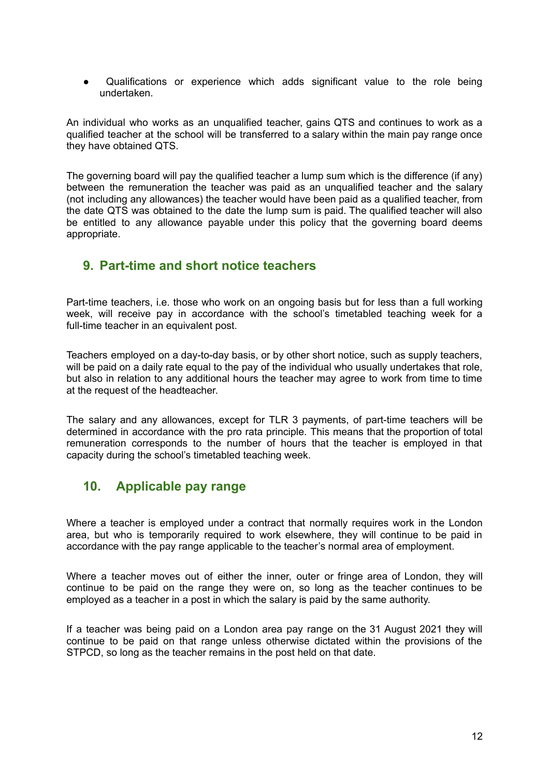● Qualifications or experience which adds significant value to the role being undertaken.

An individual who works as an unqualified teacher, gains QTS and continues to work as a qualified teacher at the school will be transferred to a salary within the main pay range once they have obtained QTS.

The governing board will pay the qualified teacher a lump sum which is the difference (if any) between the remuneration the teacher was paid as an unqualified teacher and the salary (not including any allowances) the teacher would have been paid as a qualified teacher, from the date QTS was obtained to the date the lump sum is paid. The qualified teacher will also be entitled to any allowance payable under this policy that the governing board deems appropriate.

#### **9. Part-time and short notice teachers**

Part-time teachers, i.e. those who work on an ongoing basis but for less than a full working week, will receive pay in accordance with the school's timetabled teaching week for a full-time teacher in an equivalent post.

Teachers employed on a day-to-day basis, or by other short notice, such as supply teachers, will be paid on a daily rate equal to the pay of the individual who usually undertakes that role, but also in relation to any additional hours the teacher may agree to work from time to time at the request of the headteacher.

The salary and any allowances, except for TLR 3 payments, of part-time teachers will be determined in accordance with the pro rata principle. This means that the proportion of total remuneration corresponds to the number of hours that the teacher is employed in that capacity during the school's timetabled teaching week.

## **10. Applicable pay range**

Where a teacher is employed under a contract that normally requires work in the London area, but who is temporarily required to work elsewhere, they will continue to be paid in accordance with the pay range applicable to the teacher's normal area of employment.

Where a teacher moves out of either the inner, outer or fringe area of London, they will continue to be paid on the range they were on, so long as the teacher continues to be employed as a teacher in a post in which the salary is paid by the same authority.

If a teacher was being paid on a London area pay range on the 31 August 2021 they will continue to be paid on that range unless otherwise dictated within the provisions of the STPCD, so long as the teacher remains in the post held on that date.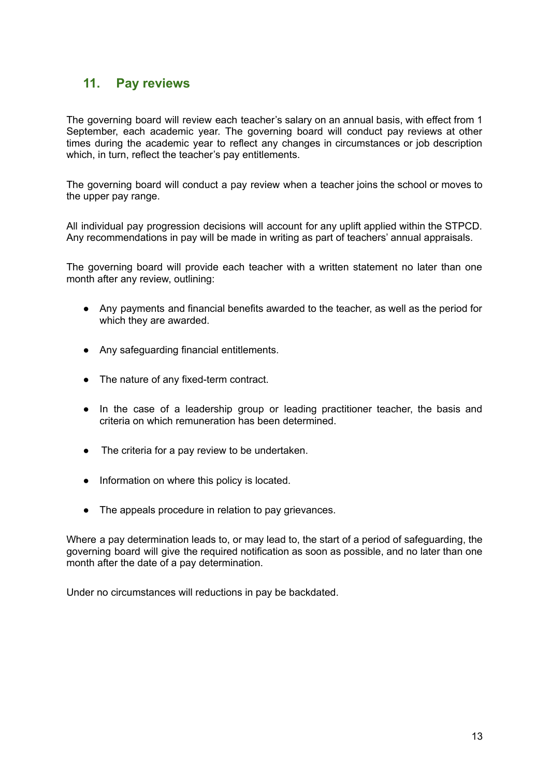## **11. Pay reviews**

The governing board will review each teacher's salary on an annual basis, with effect from 1 September, each academic year. The governing board will conduct pay reviews at other times during the academic year to reflect any changes in circumstances or job description which, in turn, reflect the teacher's pay entitlements.

The governing board will conduct a pay review when a teacher joins the school or moves to the upper pay range.

All individual pay progression decisions will account for any uplift applied within the STPCD. Any recommendations in pay will be made in writing as part of teachers' annual appraisals.

The governing board will provide each teacher with a written statement no later than one month after any review, outlining:

- Any payments and financial benefits awarded to the teacher, as well as the period for which they are awarded.
- Any safeguarding financial entitlements.
- The nature of any fixed-term contract.
- In the case of a leadership group or leading practitioner teacher, the basis and criteria on which remuneration has been determined.
- The criteria for a pay review to be undertaken.
- Information on where this policy is located.
- The appeals procedure in relation to pay grievances.

Where a pay determination leads to, or may lead to, the start of a period of safeguarding, the governing board will give the required notification as soon as possible, and no later than one month after the date of a pay determination.

Under no circumstances will reductions in pay be backdated.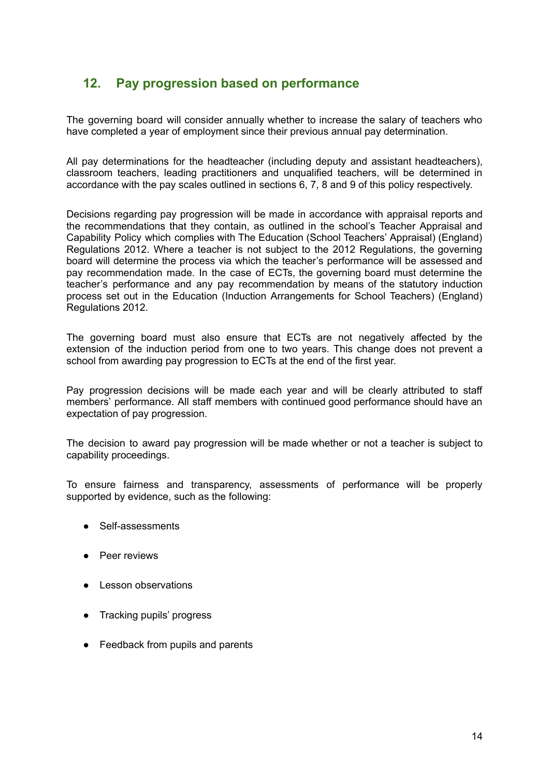## **12. Pay progression based on performance**

The governing board will consider annually whether to increase the salary of teachers who have completed a year of employment since their previous annual pay determination.

All pay determinations for the headteacher (including deputy and assistant headteachers), classroom teachers, leading practitioners and unqualified teachers, will be determined in accordance with the pay scales outlined in sections 6, 7, 8 and 9 of this policy respectively.

Decisions regarding pay progression will be made in accordance with appraisal reports and the recommendations that they contain, as outlined in the school's Teacher Appraisal and Capability Policy which complies with The Education (School Teachers' Appraisal) (England) Regulations 2012. Where a teacher is not subject to the 2012 Regulations, the governing board will determine the process via which the teacher's performance will be assessed and pay recommendation made. In the case of ECTs, the governing board must determine the teacher's performance and any pay recommendation by means of the statutory induction process set out in the Education (Induction Arrangements for School Teachers) (England) Regulations 2012.

The governing board must also ensure that ECTs are not negatively affected by the extension of the induction period from one to two years. This change does not prevent a school from awarding pay progression to ECTs at the end of the first year.

Pay progression decisions will be made each year and will be clearly attributed to staff members' performance. All staff members with continued good performance should have an expectation of pay progression.

The decision to award pay progression will be made whether or not a teacher is subject to capability proceedings.

To ensure fairness and transparency, assessments of performance will be properly supported by evidence, such as the following:

- Self-assessments
- Peer reviews
- **Lesson observations**
- Tracking pupils' progress
- Feedback from pupils and parents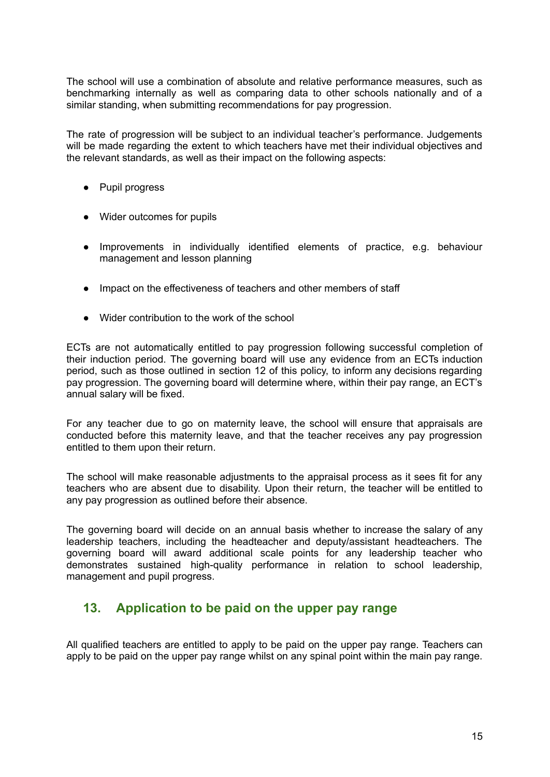The school will use a combination of absolute and relative performance measures, such as benchmarking internally as well as comparing data to other schools nationally and of a similar standing, when submitting recommendations for pay progression.

The rate of progression will be subject to an individual teacher's performance. Judgements will be made regarding the extent to which teachers have met their individual objectives and the relevant standards, as well as their impact on the following aspects:

- Pupil progress
- Wider outcomes for pupils
- Improvements in individually identified elements of practice, e.g. behaviour management and lesson planning
- Impact on the effectiveness of teachers and other members of staff
- Wider contribution to the work of the school

ECTs are not automatically entitled to pay progression following successful completion of their induction period. The governing board will use any evidence from an ECTs induction period, such as those outlined in section 12 of this policy, to inform any decisions regarding pay progression. The governing board will determine where, within their pay range, an ECT's annual salary will be fixed.

For any teacher due to go on maternity leave, the school will ensure that appraisals are conducted before this maternity leave, and that the teacher receives any pay progression entitled to them upon their return.

The school will make reasonable adjustments to the appraisal process as it sees fit for any teachers who are absent due to disability. Upon their return, the teacher will be entitled to any pay progression as outlined before their absence.

The governing board will decide on an annual basis whether to increase the salary of any leadership teachers, including the headteacher and deputy/assistant headteachers. The governing board will award additional scale points for any leadership teacher who demonstrates sustained high-quality performance in relation to school leadership, management and pupil progress.

#### **13. Application to be paid on the upper pay range**

All qualified teachers are entitled to apply to be paid on the upper pay range. Teachers can apply to be paid on the upper pay range whilst on any spinal point within the main pay range.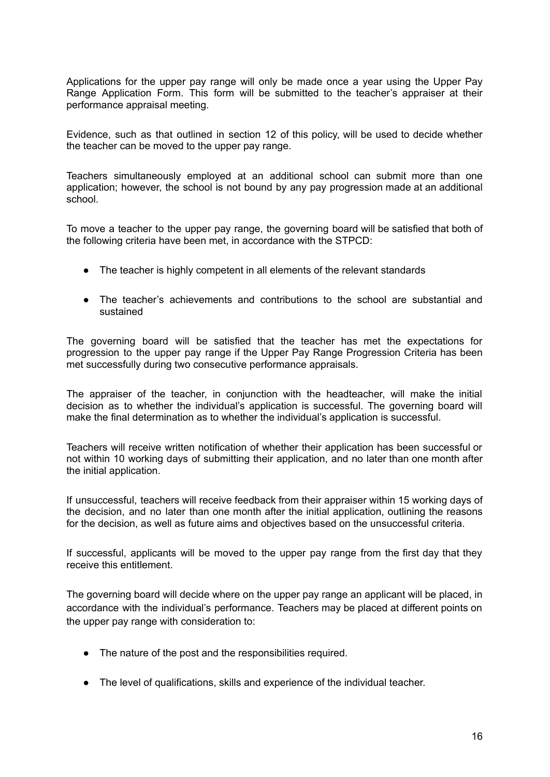Applications for the upper pay range will only be made once a year using the Upper Pay Range Application Form. This form will be submitted to the teacher's appraiser at their performance appraisal meeting.

Evidence, such as that outlined in section 12 of this policy, will be used to decide whether the teacher can be moved to the upper pay range.

Teachers simultaneously employed at an additional school can submit more than one application; however, the school is not bound by any pay progression made at an additional school.

To move a teacher to the upper pay range, the governing board will be satisfied that both of the following criteria have been met, in accordance with the STPCD:

- The teacher is highly competent in all elements of the relevant standards
- The teacher's achievements and contributions to the school are substantial and sustained

The governing board will be satisfied that the teacher has met the expectations for progression to the upper pay range if the Upper Pay Range Progression Criteria has been met successfully during two consecutive performance appraisals.

The appraiser of the teacher, in conjunction with the headteacher, will make the initial decision as to whether the individual's application is successful. The governing board will make the final determination as to whether the individual's application is successful.

Teachers will receive written notification of whether their application has been successful or not within 10 working days of submitting their application, and no later than one month after the initial application.

If unsuccessful, teachers will receive feedback from their appraiser within 15 working days of the decision, and no later than one month after the initial application, outlining the reasons for the decision, as well as future aims and objectives based on the unsuccessful criteria.

If successful, applicants will be moved to the upper pay range from the first day that they receive this entitlement.

The governing board will decide where on the upper pay range an applicant will be placed, in accordance with the individual's performance. Teachers may be placed at different points on the upper pay range with consideration to:

- The nature of the post and the responsibilities required.
- The level of qualifications, skills and experience of the individual teacher.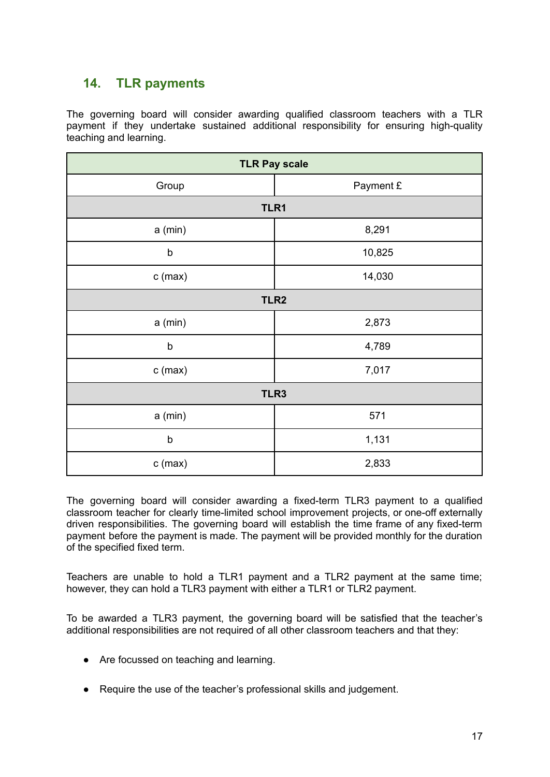## **14. TLR payments**

The governing board will consider awarding qualified classroom teachers with a TLR payment if they undertake sustained additional responsibility for ensuring high-quality teaching and learning.

| <b>TLR Pay scale</b> |           |  |  |
|----------------------|-----------|--|--|
| Group                | Payment £ |  |  |
| TLR1                 |           |  |  |
| a (min)              | 8,291     |  |  |
| $\mathsf b$          | 10,825    |  |  |
| $c$ (max)            | 14,030    |  |  |
| TLR <sub>2</sub>     |           |  |  |
| a (min)              | 2,873     |  |  |
| $\sf b$<br>4,789     |           |  |  |
| $c$ (max)            | 7,017     |  |  |
| TLR3                 |           |  |  |
| a (min)              | 571       |  |  |
| $\sf b$              | 1,131     |  |  |
| $c$ (max)            | 2,833     |  |  |

The governing board will consider awarding a fixed-term TLR3 payment to a qualified classroom teacher for clearly time-limited school improvement projects, or one-off externally driven responsibilities. The governing board will establish the time frame of any fixed-term payment before the payment is made. The payment will be provided monthly for the duration of the specified fixed term.

Teachers are unable to hold a TLR1 payment and a TLR2 payment at the same time; however, they can hold a TLR3 payment with either a TLR1 or TLR2 payment.

To be awarded a TLR3 payment, the governing board will be satisfied that the teacher's additional responsibilities are not required of all other classroom teachers and that they:

- Are focussed on teaching and learning.
- Require the use of the teacher's professional skills and judgement.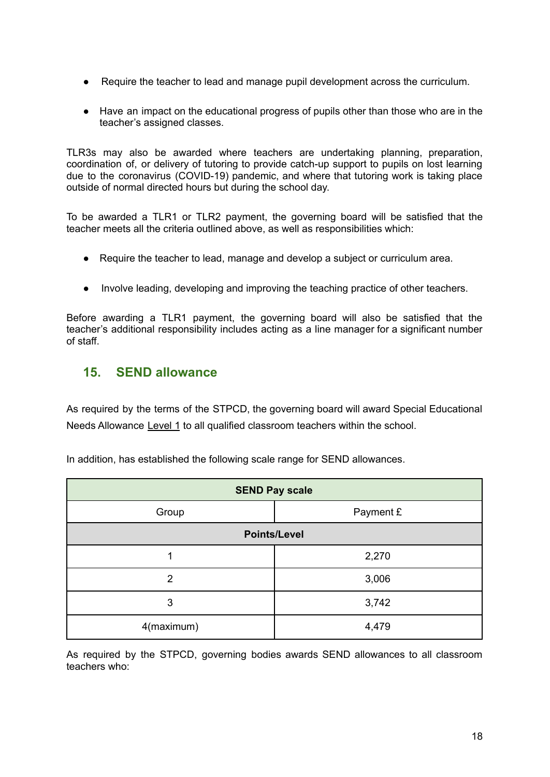- Require the teacher to lead and manage pupil development across the curriculum.
- Have an impact on the educational progress of pupils other than those who are in the teacher's assigned classes.

TLR3s may also be awarded where teachers are undertaking planning, preparation, coordination of, or delivery of tutoring to provide catch-up support to pupils on lost learning due to the coronavirus (COVID-19) pandemic, and where that tutoring work is taking place outside of normal directed hours but during the school day.

To be awarded a TLR1 or TLR2 payment, the governing board will be satisfied that the teacher meets all the criteria outlined above, as well as responsibilities which:

- Require the teacher to lead, manage and develop a subject or curriculum area.
- Involve leading, developing and improving the teaching practice of other teachers.

Before awarding a TLR1 payment, the governing board will also be satisfied that the teacher's additional responsibility includes acting as a line manager for a significant number of staff.

#### **15. SEND allowance**

As required by the terms of the STPCD, the governing board will award Special Educational Needs Allowance Level 1 to all qualified classroom teachers within the school.

| <b>SEND Pay scale</b> |           |  |  |
|-----------------------|-----------|--|--|
| Group                 | Payment £ |  |  |
| <b>Points/Level</b>   |           |  |  |
|                       | 2,270     |  |  |
| 2                     | 3,006     |  |  |
| 3                     | 3,742     |  |  |
| 4(maximum)<br>4,479   |           |  |  |

In addition, has established the following scale range for SEND allowances.

As required by the STPCD, governing bodies awards SEND allowances to all classroom teachers who: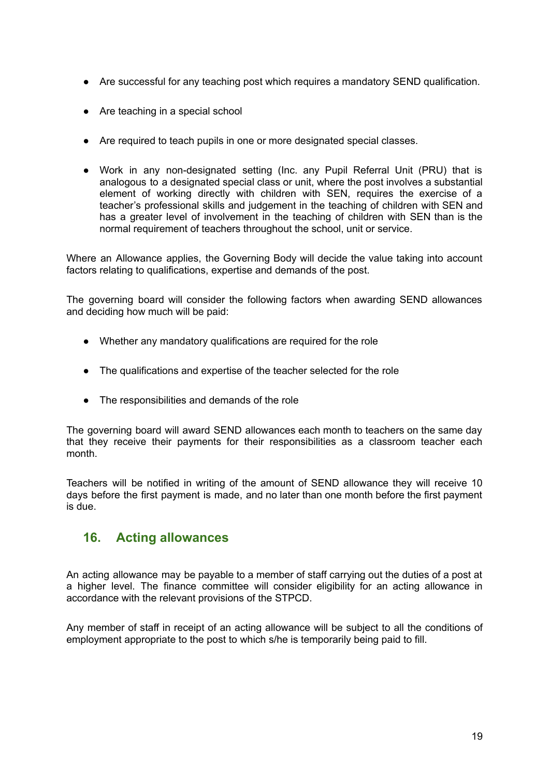- Are successful for any teaching post which requires a mandatory SEND qualification.
- Are teaching in a special school
- Are required to teach pupils in one or more designated special classes.
- Work in any non-designated setting (Inc. any Pupil Referral Unit (PRU) that is analogous to a designated special class or unit, where the post involves a substantial element of working directly with children with SEN, requires the exercise of a teacher's professional skills and judgement in the teaching of children with SEN and has a greater level of involvement in the teaching of children with SEN than is the normal requirement of teachers throughout the school, unit or service.

Where an Allowance applies, the Governing Body will decide the value taking into account factors relating to qualifications, expertise and demands of the post.

The governing board will consider the following factors when awarding SEND allowances and deciding how much will be paid:

- Whether any mandatory qualifications are required for the role
- The qualifications and expertise of the teacher selected for the role
- The responsibilities and demands of the role

The governing board will award SEND allowances each month to teachers on the same day that they receive their payments for their responsibilities as a classroom teacher each month.

Teachers will be notified in writing of the amount of SEND allowance they will receive 10 days before the first payment is made, and no later than one month before the first payment is due.

## **16. Acting allowances**

An acting allowance may be payable to a member of staff carrying out the duties of a post at a higher level. The finance committee will consider eligibility for an acting allowance in accordance with the relevant provisions of the STPCD.

Any member of staff in receipt of an acting allowance will be subject to all the conditions of employment appropriate to the post to which s/he is temporarily being paid to fill.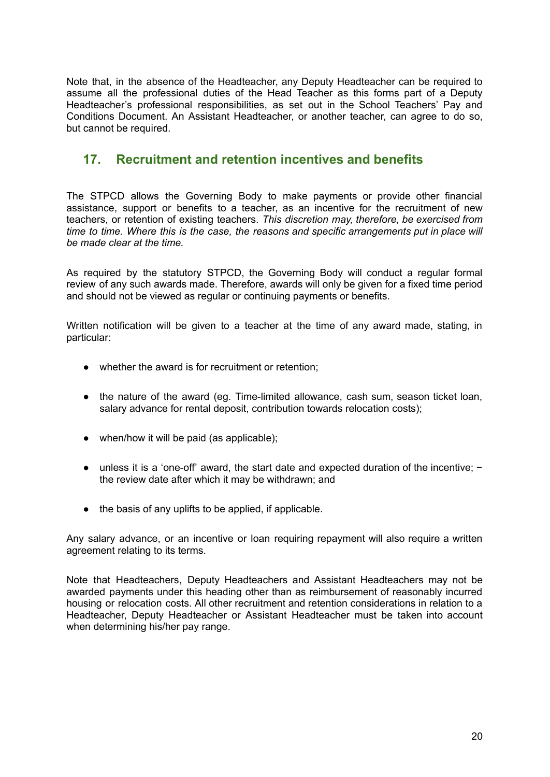Note that, in the absence of the Headteacher, any Deputy Headteacher can be required to assume all the professional duties of the Head Teacher as this forms part of a Deputy Headteacher's professional responsibilities, as set out in the School Teachers' Pay and Conditions Document. An Assistant Headteacher, or another teacher, can agree to do so, but cannot be required.

## **17. Recruitment and retention incentives and benefits**

The STPCD allows the Governing Body to make payments or provide other financial assistance, support or benefits to a teacher, as an incentive for the recruitment of new teachers, or retention of existing teachers. *This discretion may, therefore, be exercised from time to time. Where this is the case, the reasons and specific arrangements put in place will be made clear at the time.*

As required by the statutory STPCD, the Governing Body will conduct a regular formal review of any such awards made. Therefore, awards will only be given for a fixed time period and should not be viewed as regular or continuing payments or benefits.

Written notification will be given to a teacher at the time of any award made, stating, in particular:

- whether the award is for recruitment or retention;
- the nature of the award (eg. Time-limited allowance, cash sum, season ticket loan, salary advance for rental deposit, contribution towards relocation costs);
- $\bullet$  when/how it will be paid (as applicable);
- unless it is a 'one-off' award, the start date and expected duration of the incentive; − the review date after which it may be withdrawn; and
- the basis of any uplifts to be applied, if applicable.

Any salary advance, or an incentive or loan requiring repayment will also require a written agreement relating to its terms.

Note that Headteachers, Deputy Headteachers and Assistant Headteachers may not be awarded payments under this heading other than as reimbursement of reasonably incurred housing or relocation costs. All other recruitment and retention considerations in relation to a Headteacher, Deputy Headteacher or Assistant Headteacher must be taken into account when determining his/her pay range.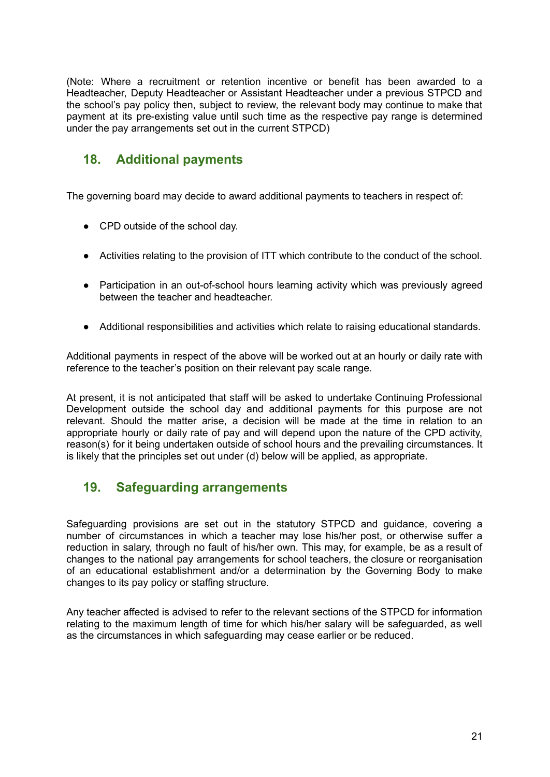(Note: Where a recruitment or retention incentive or benefit has been awarded to a Headteacher, Deputy Headteacher or Assistant Headteacher under a previous STPCD and the school's pay policy then, subject to review, the relevant body may continue to make that payment at its pre-existing value until such time as the respective pay range is determined under the pay arrangements set out in the current STPCD)

## **18. Additional payments**

The governing board may decide to award additional payments to teachers in respect of:

- CPD outside of the school day.
- Activities relating to the provision of ITT which contribute to the conduct of the school.
- Participation in an out-of-school hours learning activity which was previously agreed between the teacher and headteacher.
- Additional responsibilities and activities which relate to raising educational standards.

Additional payments in respect of the above will be worked out at an hourly or daily rate with reference to the teacher's position on their relevant pay scale range.

At present, it is not anticipated that staff will be asked to undertake Continuing Professional Development outside the school day and additional payments for this purpose are not relevant. Should the matter arise, a decision will be made at the time in relation to an appropriate hourly or daily rate of pay and will depend upon the nature of the CPD activity, reason(s) for it being undertaken outside of school hours and the prevailing circumstances. It is likely that the principles set out under (d) below will be applied, as appropriate.

## **19. Safeguarding arrangements**

Safeguarding provisions are set out in the statutory STPCD and guidance, covering a number of circumstances in which a teacher may lose his/her post, or otherwise suffer a reduction in salary, through no fault of his/her own. This may, for example, be as a result of changes to the national pay arrangements for school teachers, the closure or reorganisation of an educational establishment and/or a determination by the Governing Body to make changes to its pay policy or staffing structure.

Any teacher affected is advised to refer to the relevant sections of the STPCD for information relating to the maximum length of time for which his/her salary will be safeguarded, as well as the circumstances in which safeguarding may cease earlier or be reduced.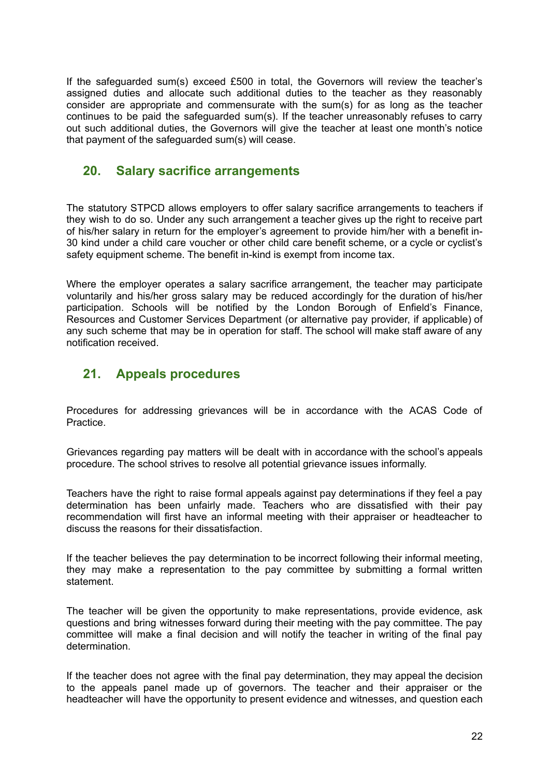If the safeguarded sum(s) exceed £500 in total, the Governors will review the teacher's assigned duties and allocate such additional duties to the teacher as they reasonably consider are appropriate and commensurate with the sum(s) for as long as the teacher continues to be paid the safeguarded sum(s). If the teacher unreasonably refuses to carry out such additional duties, the Governors will give the teacher at least one month's notice that payment of the safeguarded sum(s) will cease.

#### **20. Salary sacrifice arrangements**

The statutory STPCD allows employers to offer salary sacrifice arrangements to teachers if they wish to do so. Under any such arrangement a teacher gives up the right to receive part of his/her salary in return for the employer's agreement to provide him/her with a benefit in-30 kind under a child care voucher or other child care benefit scheme, or a cycle or cyclist's safety equipment scheme. The benefit in-kind is exempt from income tax.

Where the employer operates a salary sacrifice arrangement, the teacher may participate voluntarily and his/her gross salary may be reduced accordingly for the duration of his/her participation. Schools will be notified by the London Borough of Enfield's Finance, Resources and Customer Services Department (or alternative pay provider, if applicable) of any such scheme that may be in operation for staff. The school will make staff aware of any notification received.

## **21. Appeals procedures**

Procedures for addressing grievances will be in accordance with the ACAS Code of Practice.

Grievances regarding pay matters will be dealt with in accordance with the school's appeals procedure. The school strives to resolve all potential grievance issues informally.

Teachers have the right to raise formal appeals against pay determinations if they feel a pay determination has been unfairly made. Teachers who are dissatisfied with their pay recommendation will first have an informal meeting with their appraiser or headteacher to discuss the reasons for their dissatisfaction.

If the teacher believes the pay determination to be incorrect following their informal meeting, they may make a representation to the pay committee by submitting a formal written statement.

The teacher will be given the opportunity to make representations, provide evidence, ask questions and bring witnesses forward during their meeting with the pay committee. The pay committee will make a final decision and will notify the teacher in writing of the final pay determination.

If the teacher does not agree with the final pay determination, they may appeal the decision to the appeals panel made up of governors. The teacher and their appraiser or the headteacher will have the opportunity to present evidence and witnesses, and question each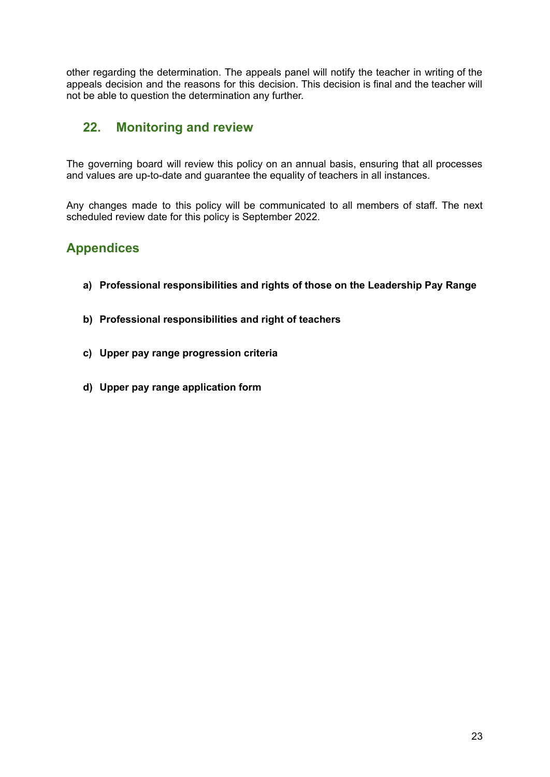other regarding the determination. The appeals panel will notify the teacher in writing of the appeals decision and the reasons for this decision. This decision is final and the teacher will not be able to question the determination any further.

## **22. Monitoring and review**

The governing board will review this policy on an annual basis, ensuring that all processes and values are up-to-date and guarantee the equality of teachers in all instances.

Any changes made to this policy will be communicated to all members of staff. The next scheduled review date for this policy is September 2022.

## **Appendices**

- **a) Professional responsibilities and rights of those on the Leadership Pay Range**
- **b) Professional responsibilities and right of teachers**
- **c) Upper pay range progression criteria**
- **d) Upper pay range application form**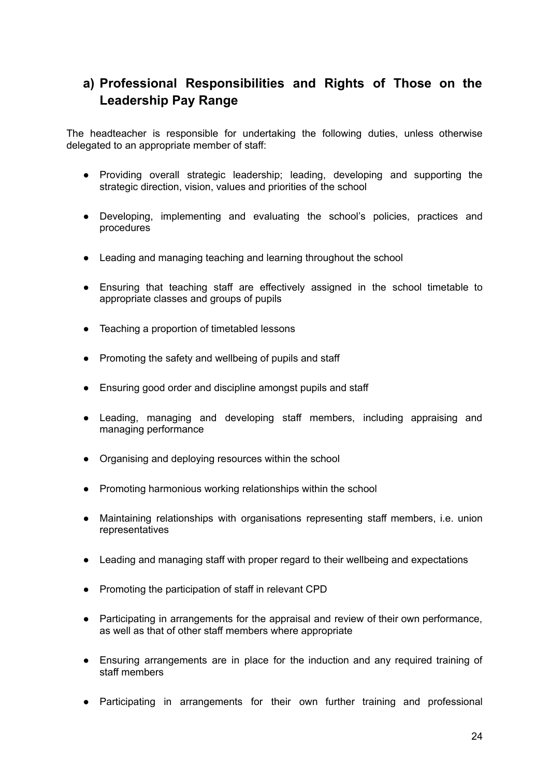## **a) Professional Responsibilities and Rights of Those on the Leadership Pay Range**

The headteacher is responsible for undertaking the following duties, unless otherwise delegated to an appropriate member of staff:

- Providing overall strategic leadership; leading, developing and supporting the strategic direction, vision, values and priorities of the school
- Developing, implementing and evaluating the school's policies, practices and procedures
- Leading and managing teaching and learning throughout the school
- Ensuring that teaching staff are effectively assigned in the school timetable to appropriate classes and groups of pupils
- Teaching a proportion of timetabled lessons
- Promoting the safety and wellbeing of pupils and staff
- Ensuring good order and discipline amongst pupils and staff
- Leading, managing and developing staff members, including appraising and managing performance
- Organising and deploying resources within the school
- Promoting harmonious working relationships within the school
- Maintaining relationships with organisations representing staff members, i.e. union representatives
- Leading and managing staff with proper regard to their wellbeing and expectations
- Promoting the participation of staff in relevant CPD
- Participating in arrangements for the appraisal and review of their own performance, as well as that of other staff members where appropriate
- Ensuring arrangements are in place for the induction and any required training of staff members
- Participating in arrangements for their own further training and professional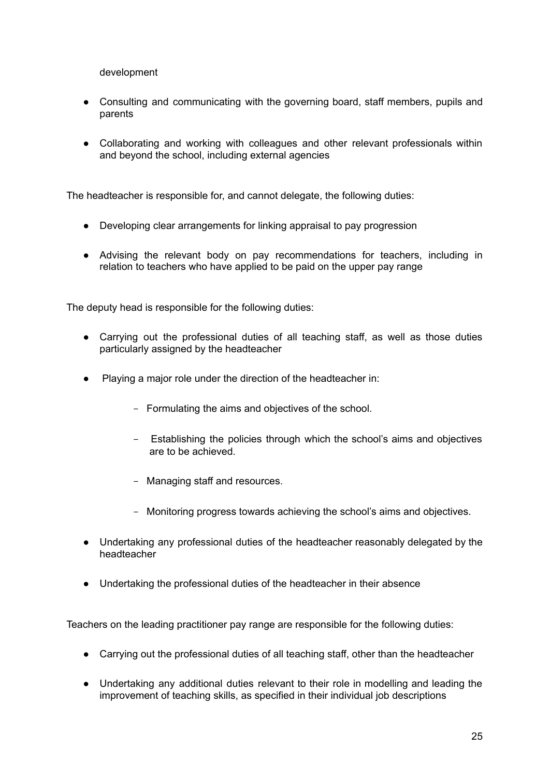development

- Consulting and communicating with the governing board, staff members, pupils and parents
- Collaborating and working with colleagues and other relevant professionals within and beyond the school, including external agencies

The headteacher is responsible for, and cannot delegate, the following duties:

- Developing clear arrangements for linking appraisal to pay progression
- Advising the relevant body on pay recommendations for teachers, including in relation to teachers who have applied to be paid on the upper pay range

The deputy head is responsible for the following duties:

- Carrying out the professional duties of all teaching staff, as well as those duties particularly assigned by the headteacher
- Playing a major role under the direction of the headteacher in:
	- Formulating the aims and objectives of the school.
	- Establishing the policies through which the school's aims and objectives are to be achieved.
	- Managing staff and resources.
	- Monitoring progress towards achieving the school's aims and objectives.
- Undertaking any professional duties of the headteacher reasonably delegated by the headteacher
- Undertaking the professional duties of the headteacher in their absence

Teachers on the leading practitioner pay range are responsible for the following duties:

- Carrying out the professional duties of all teaching staff, other than the headteacher
- Undertaking any additional duties relevant to their role in modelling and leading the improvement of teaching skills, as specified in their individual job descriptions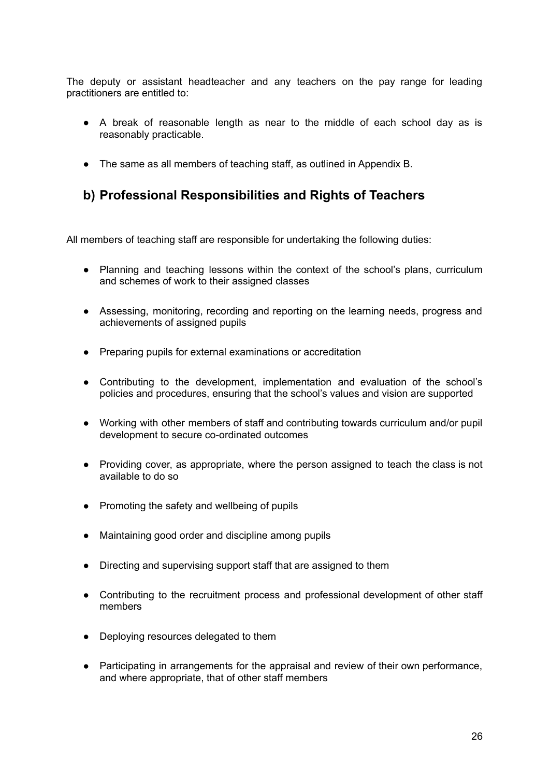The deputy or assistant headteacher and any teachers on the pay range for leading practitioners are entitled to:

- A break of reasonable length as near to the middle of each school day as is reasonably practicable.
- The same as all members of teaching staff, as outlined in Appendix B.

## **b) Professional Responsibilities and Rights of Teachers**

All members of teaching staff are responsible for undertaking the following duties:

- Planning and teaching lessons within the context of the school's plans, curriculum and schemes of work to their assigned classes
- Assessing, monitoring, recording and reporting on the learning needs, progress and achievements of assigned pupils
- Preparing pupils for external examinations or accreditation
- Contributing to the development, implementation and evaluation of the school's policies and procedures, ensuring that the school's values and vision are supported
- Working with other members of staff and contributing towards curriculum and/or pupil development to secure co-ordinated outcomes
- Providing cover, as appropriate, where the person assigned to teach the class is not available to do so
- Promoting the safety and wellbeing of pupils
- Maintaining good order and discipline among pupils
- Directing and supervising support staff that are assigned to them
- Contributing to the recruitment process and professional development of other staff members
- Deploying resources delegated to them
- Participating in arrangements for the appraisal and review of their own performance, and where appropriate, that of other staff members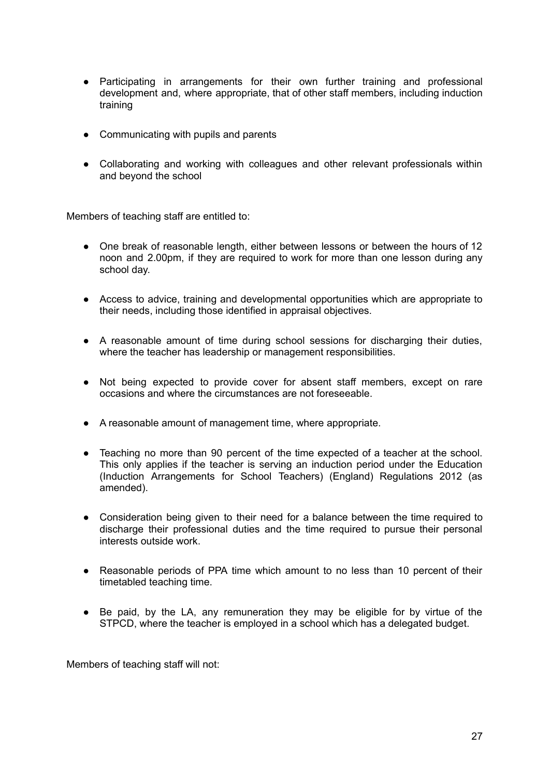- Participating in arrangements for their own further training and professional development and, where appropriate, that of other staff members, including induction training
- Communicating with pupils and parents
- Collaborating and working with colleagues and other relevant professionals within and beyond the school

Members of teaching staff are entitled to:

- One break of reasonable length, either between lessons or between the hours of 12 noon and 2.00pm, if they are required to work for more than one lesson during any school day.
- Access to advice, training and developmental opportunities which are appropriate to their needs, including those identified in appraisal objectives.
- A reasonable amount of time during school sessions for discharging their duties, where the teacher has leadership or management responsibilities.
- Not being expected to provide cover for absent staff members, except on rare occasions and where the circumstances are not foreseeable.
- A reasonable amount of management time, where appropriate.
- Teaching no more than 90 percent of the time expected of a teacher at the school. This only applies if the teacher is serving an induction period under the Education (Induction Arrangements for School Teachers) (England) Regulations 2012 (as amended).
- Consideration being given to their need for a balance between the time required to discharge their professional duties and the time required to pursue their personal interests outside work.
- Reasonable periods of PPA time which amount to no less than 10 percent of their timetabled teaching time.
- Be paid, by the LA, any remuneration they may be eligible for by virtue of the STPCD, where the teacher is employed in a school which has a delegated budget.

Members of teaching staff will not: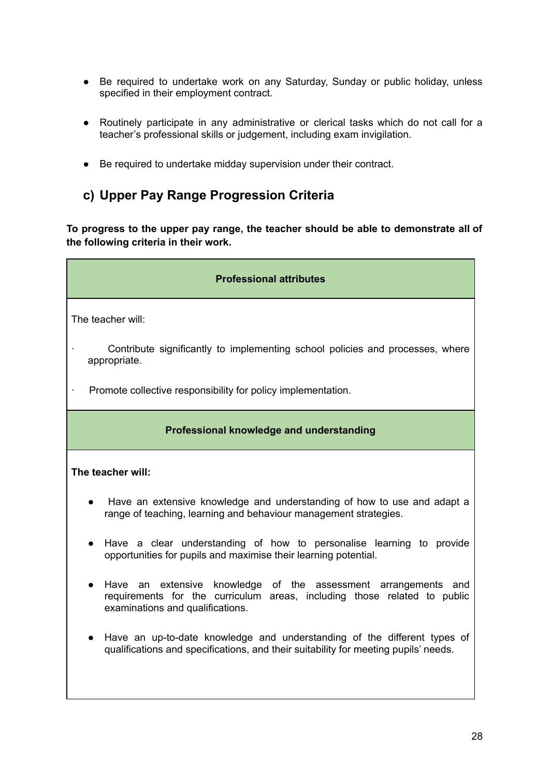- Be required to undertake work on any Saturday, Sunday or public holiday, unless specified in their employment contract.
- Routinely participate in any administrative or clerical tasks which do not call for a teacher's professional skills or judgement, including exam invigilation.
- Be required to undertake midday supervision under their contract.

## **c) Upper Pay Range Progression Criteria**

**To progress to the upper pay range, the teacher should be able to demonstrate all of the following criteria in their work.**

| <b>Professional attributes</b>                                                                                                                                                 |  |  |  |
|--------------------------------------------------------------------------------------------------------------------------------------------------------------------------------|--|--|--|
| The teacher will:                                                                                                                                                              |  |  |  |
| Contribute significantly to implementing school policies and processes, where<br>appropriate.                                                                                  |  |  |  |
| Promote collective responsibility for policy implementation.                                                                                                                   |  |  |  |
| Professional knowledge and understanding                                                                                                                                       |  |  |  |
| The teacher will:                                                                                                                                                              |  |  |  |
| Have an extensive knowledge and understanding of how to use and adapt a<br>range of teaching, learning and behaviour management strategies.                                    |  |  |  |
| Have a clear understanding of how to personalise learning to provide<br>opportunities for pupils and maximise their learning potential.                                        |  |  |  |
| Have an extensive knowledge of the assessment arrangements and<br>requirements for the curriculum areas, including those related to public<br>examinations and qualifications. |  |  |  |
| Have an up-to-date knowledge and understanding of the different types of<br>qualifications and specifications, and their suitability for meeting pupils' needs.                |  |  |  |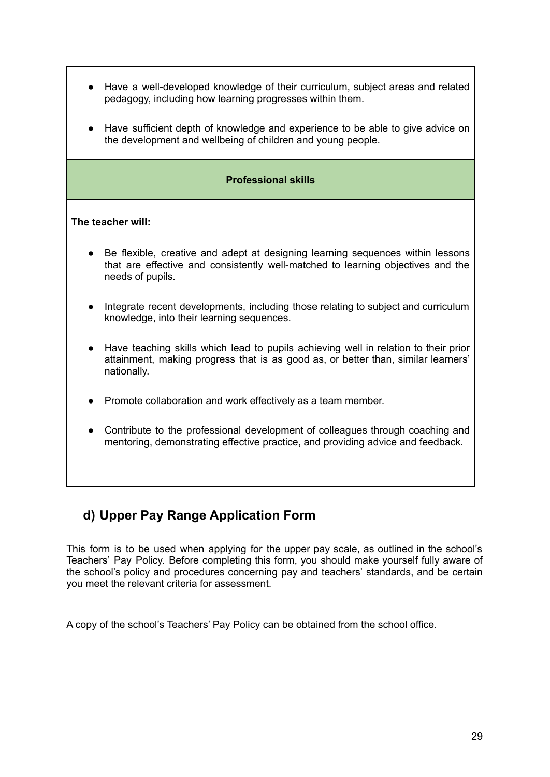| Have a well-developed knowledge of their curriculum, subject areas and related<br>pedagogy, including how learning progresses within them.                                              |  |  |
|-----------------------------------------------------------------------------------------------------------------------------------------------------------------------------------------|--|--|
| Have sufficient depth of knowledge and experience to be able to give advice on<br>the development and wellbeing of children and young people.                                           |  |  |
| <b>Professional skills</b>                                                                                                                                                              |  |  |
| The teacher will:                                                                                                                                                                       |  |  |
| Be flexible, creative and adept at designing learning sequences within lessons<br>that are effective and consistently well-matched to learning objectives and the<br>needs of pupils.   |  |  |
| Integrate recent developments, including those relating to subject and curriculum<br>knowledge, into their learning sequences.                                                          |  |  |
| Have teaching skills which lead to pupils achieving well in relation to their prior<br>attainment, making progress that is as good as, or better than, similar learners'<br>nationally. |  |  |
| Promote collaboration and work effectively as a team member.                                                                                                                            |  |  |
| Contribute to the professional development of colleagues through coaching and<br>mentoring, demonstrating effective practice, and providing advice and feedback.                        |  |  |

## **d) Upper Pay Range Application Form**

Г

This form is to be used when applying for the upper pay scale, as outlined in the school's Teachers' Pay Policy. Before completing this form, you should make yourself fully aware of the school's policy and procedures concerning pay and teachers' standards, and be certain you meet the relevant criteria for assessment.

A copy of the school's Teachers' Pay Policy can be obtained from the school office.